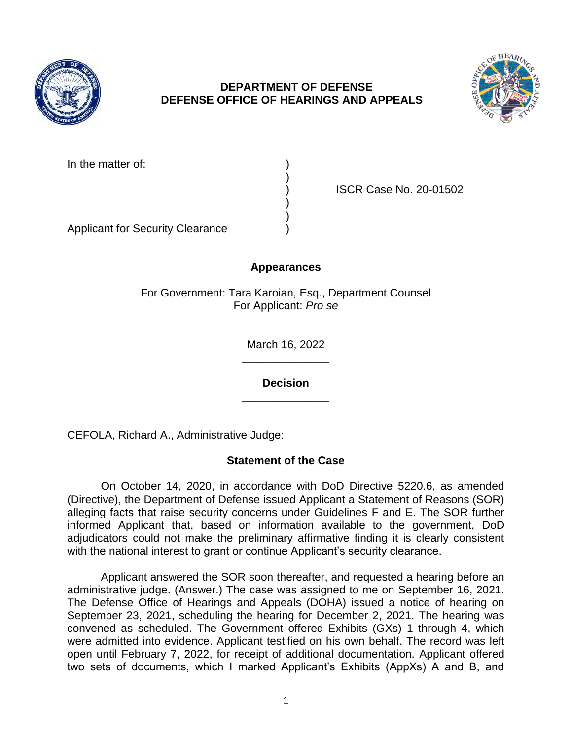

## **DEPARTMENT OF DEFENSE DEFENSE OFFICE OF HEARINGS AND APPEALS**



In the matter of:

) ISCR Case No. 20-01502

Applicant for Security Clearance )

# **Appearances**

)

) )

For Government: Tara Karoian, Esq., Department Counsel For Applicant: *Pro se* 

> **\_\_\_\_\_\_\_\_\_\_\_\_\_\_**  March 16, 2022

> **\_\_\_\_\_\_\_\_\_\_\_\_\_\_ Decision**

CEFOLA, Richard A., Administrative Judge:

## **Statement of the Case**

 On October 14, 2020, in accordance with DoD Directive 5220.6, as amended (Directive), the Department of Defense issued Applicant a Statement of Reasons (SOR) alleging facts that raise security concerns under Guidelines F and E. The SOR further informed Applicant that, based on information available to the government, DoD adjudicators could not make the preliminary affirmative finding it is clearly consistent with the national interest to grant or continue Applicant's security clearance.

 Applicant answered the SOR soon thereafter, and requested a hearing before an administrative judge. (Answer.) The case was assigned to me on September 16, 2021. The Defense Office of Hearings and Appeals (DOHA) issued a notice of hearing on September 23, 2021, scheduling the hearing for December 2, 2021. The hearing was convened as scheduled. The Government offered Exhibits (GXs) 1 through 4, which were admitted into evidence. Applicant testified on his own behalf. The record was left two sets of documents, which I marked Applicant's Exhibits (AppXs) A and B, and open until February 7, 2022, for receipt of additional documentation. Applicant offered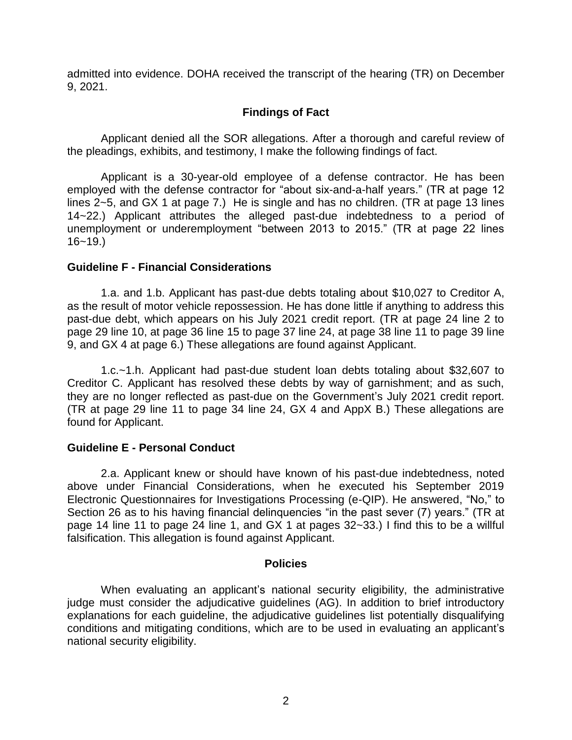admitted into evidence. DOHA received the transcript of the hearing (TR) on December 9, 2021.

### **Findings of Fact**

 Applicant denied all the SOR allegations. After a thorough and careful review of the pleadings, exhibits, and testimony, I make the following findings of fact.

 Applicant is a 30-year-old employee of a defense contractor. He has been employed with the defense contractor for "about six-and-a-half years." (TR at page 12 lines 2~5, and GX 1 at page 7.) He is single and has no children. (TR at page 13 lines 14~22.) Applicant attributes the alleged past-due indebtedness to a period of unemployment or underemployment "between 2013 to 2015." (TR at page 22 lines 16~19.)

#### **Guideline F - Financial Considerations**

 1.a. and 1.b. Applicant has past-due debts totaling about \$10,027 to Creditor A, as the result of motor vehicle repossession. He has done little if anything to address this past-due debt, which appears on his July 2021 credit report. (TR at page 24 line 2 to page 29 line 10, at page 36 line 15 to page 37 line 24, at page 38 line 11 to page 39 line 9, and GX 4 at page 6.) These allegations are found against Applicant.

 1.c.~1.h. Applicant had past-due student loan debts totaling about \$32,607 to Creditor C. Applicant has resolved these debts by way of garnishment; and as such, they are no longer reflected as past-due on the Government's July 2021 credit report. (TR at page 29 line 11 to page 34 line 24, GX 4 and AppX B.) These allegations are found for Applicant.

### **Guideline E - Personal Conduct**

 2.a. Applicant knew or should have known of his past-due indebtedness, noted above under Financial Considerations, when he executed his September 2019 Section 26 as to his having financial delinquencies "in the past sever (7) years." (TR at page 14 line 11 to page 24 line 1, and GX 1 at pages 32~33.) I find this to be a willful falsification. This allegation is found against Applicant. Electronic Questionnaires for Investigations Processing (e-QIP). He answered, "No," to

#### **Policies**

 When evaluating an applicant's national security eligibility, the administrative judge must consider the adjudicative guidelines (AG). In addition to brief introductory explanations for each guideline, the adjudicative guidelines list potentially disqualifying conditions and mitigating conditions, which are to be used in evaluating an applicant's national security eligibility.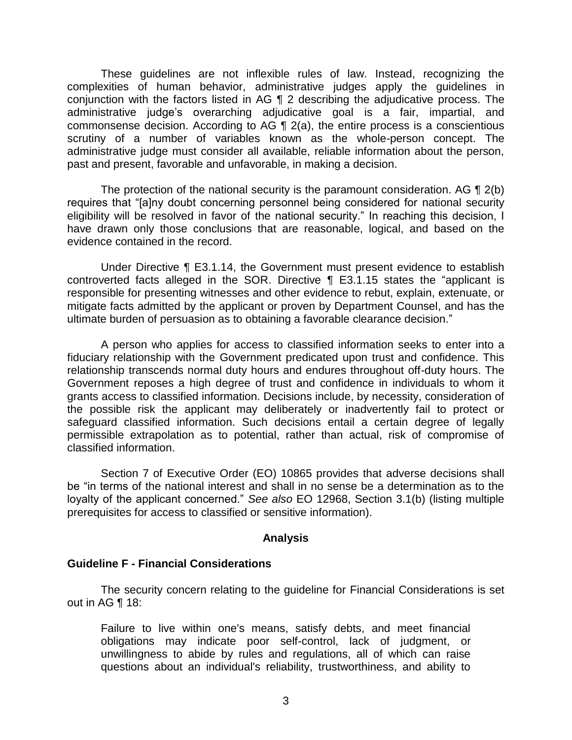These guidelines are not inflexible rules of law. Instead, recognizing the complexities of human behavior, administrative judges apply the guidelines in conjunction with the factors listed in AG ¶ 2 describing the adjudicative process. The commonsense decision. According to AG  $\P$  2(a), the entire process is a conscientious scrutiny of a number of variables known as the whole-person concept. The administrative judge must consider all available, reliable information about the person, administrative judge's overarching adjudicative goal is a fair, impartial, and past and present, favorable and unfavorable, in making a decision.

The protection of the national security is the paramount consideration. AG  $\P$  2(b) eligibility will be resolved in favor of the national security." In reaching this decision, I have drawn only those conclusions that are reasonable, logical, and based on the requires that "[a]ny doubt concerning personnel being considered for national security evidence contained in the record.

 Under Directive ¶ E3.1.14, the Government must present evidence to establish controverted facts alleged in the SOR. Directive ¶ E3.1.15 states the "applicant is responsible for presenting witnesses and other evidence to rebut, explain, extenuate, or mitigate facts admitted by the applicant or proven by Department Counsel, and has the ultimate burden of persuasion as to obtaining a favorable clearance decision."

 A person who applies for access to classified information seeks to enter into a fiduciary relationship with the Government predicated upon trust and confidence. This relationship transcends normal duty hours and endures throughout off-duty hours. The Government reposes a high degree of trust and confidence in individuals to whom it grants access to classified information. Decisions include, by necessity, consideration of the possible risk the applicant may deliberately or inadvertently fail to protect or safeguard classified information. Such decisions entail a certain degree of legally permissible extrapolation as to potential, rather than actual, risk of compromise of classified information.

 Section 7 of Executive Order (EO) 10865 provides that adverse decisions shall be "in terms of the national interest and shall in no sense be a determination as to the loyalty of the applicant concerned." *See also* EO 12968, Section 3.1(b) (listing multiple prerequisites for access to classified or sensitive information).

### **Analysis**

### **Guideline F - Financial Considerations**

 The security concern relating to the guideline for Financial Considerations is set out in AG ¶ 18:

 Failure to live within one's means, satisfy debts, and meet financial obligations may indicate poor self-control, lack of judgment, or unwillingness to abide by rules and regulations, all of which can raise questions about an individual's reliability, trustworthiness, and ability to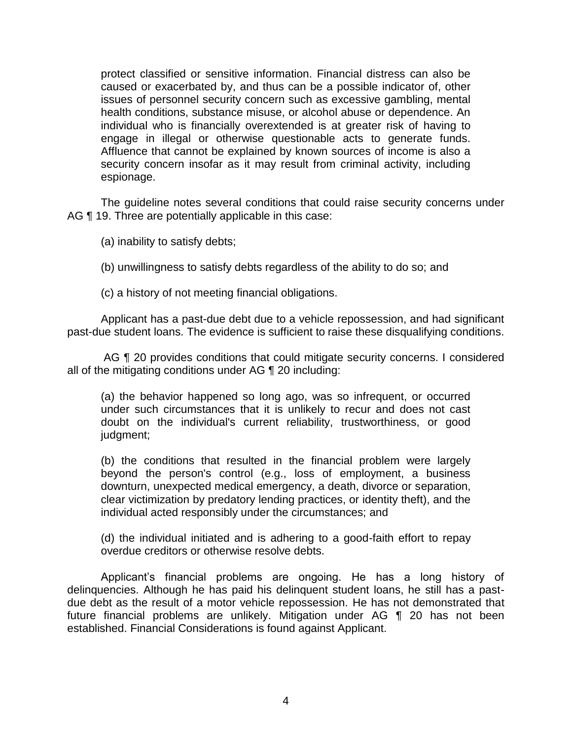protect classified or sensitive information. Financial distress can also be caused or exacerbated by, and thus can be a possible indicator of, other issues of personnel security concern such as excessive gambling, mental individual who is financially overextended is at greater risk of having to engage in illegal or otherwise questionable acts to generate funds. Affluence that cannot be explained by known sources of income is also a health conditions, substance misuse, or alcohol abuse or dependence. An security concern insofar as it may result from criminal activity, including espionage.

 The guideline notes several conditions that could raise security concerns under AG ¶ 19. Three are potentially applicable in this case:

(a) inability to satisfy debts;

(b) unwillingness to satisfy debts regardless of the ability to do so; and

(c) a history of not meeting financial obligations.

 Applicant has a past-due debt due to a vehicle repossession, and had significant past-due student loans. The evidence is sufficient to raise these disqualifying conditions.

 AG ¶ 20 provides conditions that could mitigate security concerns. I considered all of the mitigating conditions under AG ¶ 20 including:

 (a) the behavior happened so long ago, was so infrequent, or occurred under such circumstances that it is unlikely to recur and does not cast doubt on the individual's current reliability, trustworthiness, or good judgment;

 (b) the conditions that resulted in the financial problem were largely beyond the person's control (e.g., loss of employment, a business clear victimization by predatory lending practices, or identity theft), and the downturn, unexpected medical emergency, a death, divorce or separation, individual acted responsibly under the circumstances; and

 (d) the individual initiated and is adhering to a good-faith effort to repay overdue creditors or otherwise resolve debts.

Applicant's financial problems are ongoing. He has a long history of delinquencies. Although he has paid his delinquent student loans, he still has a pastdue debt as the result of a motor vehicle repossession. He has not demonstrated that future financial problems are unlikely. Mitigation under AG ¶ 20 has not been established. Financial Considerations is found against Applicant.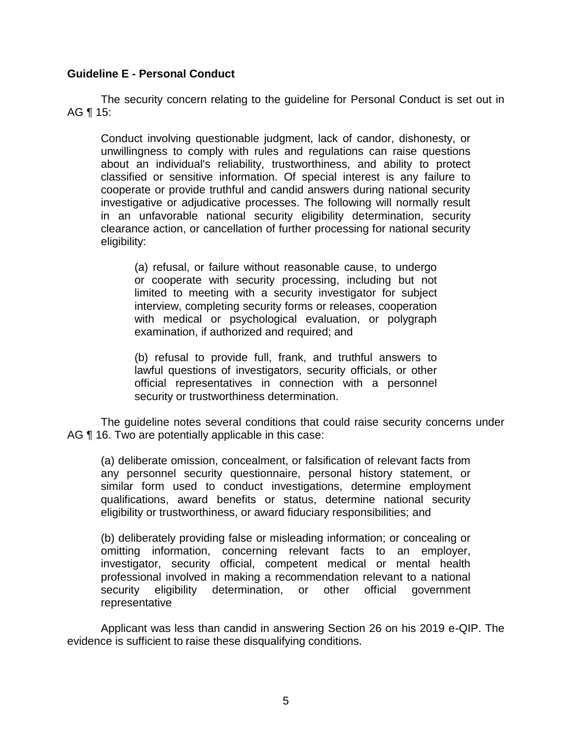### **Guideline E - Personal Conduct**

 The security concern relating to the guideline for Personal Conduct is set out in AG ¶ 15:

 Conduct involving questionable judgment, lack of candor, dishonesty, or unwillingness to comply with rules and regulations can raise questions about an individual's reliability, trustworthiness, and ability to protect classified or sensitive information. Of special interest is any failure to cooperate or provide truthful and candid answers during national security investigative or adjudicative processes. The following will normally result in an unfavorable national security eligibility determination, security clearance action, or cancellation of further processing for national security eligibility:

 (a) refusal, or failure without reasonable cause, to undergo or cooperate with security processing, including but not limited to meeting with a security investigator for subject interview, completing security forms or releases, cooperation with medical or psychological evaluation, or polygraph examination, if authorized and required; and

 (b) refusal to provide full, frank, and truthful answers to official representatives in connection with a personnel lawful questions of investigators, security officials, or other security or trustworthiness determination.

 The guideline notes several conditions that could raise security concerns under AG  $\P$  16. Two are potentially applicable in this case:

 any personnel security questionnaire, personal history statement, or similar form used to conduct investigations, determine employment qualifications, award benefits or status, determine national security (a) deliberate omission, concealment, or falsification of relevant facts from eligibility or trustworthiness, or award fiduciary responsibilities; and

 (b) deliberately providing false or misleading information; or concealing or omitting information, concerning relevant facts to an employer, investigator, security official, competent medical or mental health professional involved in making a recommendation relevant to a national security eligibility determination, or other official government representative

 Applicant was less than candid in answering Section 26 on his 2019 e-QIP. The evidence is sufficient to raise these disqualifying conditions.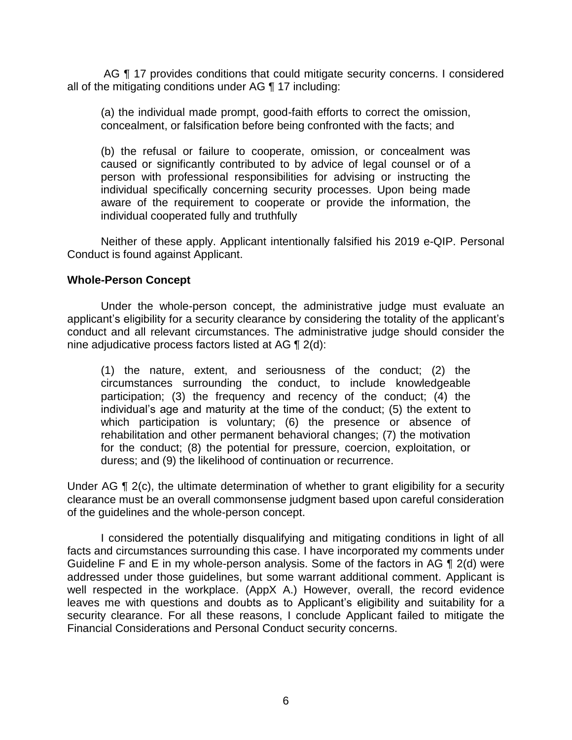AG ¶ 17 provides conditions that could mitigate security concerns. I considered all of the mitigating conditions under AG ¶ 17 including:

 (a) the individual made prompt, good-faith efforts to correct the omission, concealment, or falsification before being confronted with the facts; and

 (b) the refusal or failure to cooperate, omission, or concealment was caused or significantly contributed to by advice of legal counsel or of a person with professional responsibilities for advising or instructing the individual specifically concerning security processes. Upon being made aware of the requirement to cooperate or provide the information, the individual cooperated fully and truthfully

Neither of these apply. Applicant intentionally falsified his 2019 e-QIP. Personal Conduct is found against Applicant.

#### **Whole-Person Concept**

 Under the whole-person concept, the administrative judge must evaluate an applicant's eligibility for a security clearance by considering the totality of the applicant's conduct and all relevant circumstances. The administrative judge should consider the nine adjudicative process factors listed at AG ¶ 2(d):

(1) the nature, extent, and seriousness of the conduct; (2) the circumstances surrounding the conduct, to include knowledgeable participation; (3) the frequency and recency of the conduct; (4) the individual's age and maturity at the time of the conduct; (5) the extent to which participation is voluntary; (6) the presence or absence of rehabilitation and other permanent behavioral changes; (7) the motivation for the conduct; (8) the potential for pressure, coercion, exploitation, or duress; and (9) the likelihood of continuation or recurrence.

Under AG ¶ 2(c), the ultimate determination of whether to grant eligibility for a security clearance must be an overall commonsense judgment based upon careful consideration of the guidelines and the whole-person concept.

 I considered the potentially disqualifying and mitigating conditions in light of all facts and circumstances surrounding this case. I have incorporated my comments under Guideline F and E in my whole-person analysis. Some of the factors in AG ¶ 2(d) were well respected in the workplace. (AppX A.) However, overall, the record evidence leaves me with questions and doubts as to Applicant's eligibility and suitability for a security clearance. For all these reasons, I conclude Applicant failed to mitigate the addressed under those guidelines, but some warrant additional comment. Applicant is Financial Considerations and Personal Conduct security concerns.